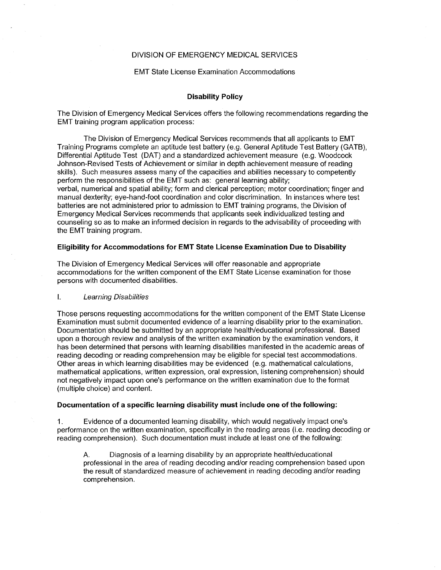# DIVISION OF EMERGENCY MEDICAL SERVICES

### **EMT State License Examination Accommodations**

# **Disability Policy**

The Division of Emergency Medical Services offers the following recommendations regarding the EMT training program application process:

The Division of Emergency Medical Services recommends that all applicants to EMT Training Programs complete an aptitude test battery (e.g. General Aptitude Test Battery (GATB), Differential Aptitude Test (DAT) and a standardized achievement measure (e.g. Woodcock Johnson-Revised Tests of Achievement or similar in depth achievement measure of reading skills). Such measures assess many of the capacities and abilities necessary to competently perform the responsibilities of the EMT such as: general learning ability; verbal, numerical and spatial ability; form and clerical perception; motor coordination; finger and manual dexterity; eye-hand-foot coordination and color discrimination. In instances where test batteries are not administered prior to admission to EMT training programs, the Division of Emergency Medical Services recommends that applicants seek individualized testing and counseling so as to make an informed decision in regards to the advisability of proceeding with the EMT training program.

### Eligibility for Accommodations for EMT State License Examination Due to Disability

The Division of Emergency Medical Services will offer reasonable and appropriate accommodations for the written component of the EMT State License examination for those persons with documented disabilities.

#### $\mathbf{L}$ **Learning Disabilities**

Those persons requesting accommodations for the written component of the EMT State License Examination must submit documented evidence of a learning disability prior to the examination. Documentation should be submitted by an appropriate health/educational professional. Based upon a thorough review and analysis of the written examination by the examination vendors, it has been determined that persons with learning disabilities manifested in the academic areas of reading decoding or reading comprehension may be eligible for special test accommodations. Other areas in which learning disabilities may be evidenced (e.g. mathematical calculations, mathematical applications, written expression, oral expression, listening comprehension) should not negatively impact upon one's performance on the written examination due to the format (multiple choice) and content.

### Documentation of a specific learning disability must include one of the following:

1. Evidence of a documented learning disability, which would negatively impact one's performance on the written examination, specifically in the reading areas (i.e. reading decoding or reading comprehension). Such documentation must include at least one of the following:

A. Diagnosis of a learning disability by an appropriate health/educational professional in the area of reading decoding and/or reading comprehension based upon the result of standardized measure of achievement in reading decoding and/or reading comprehension.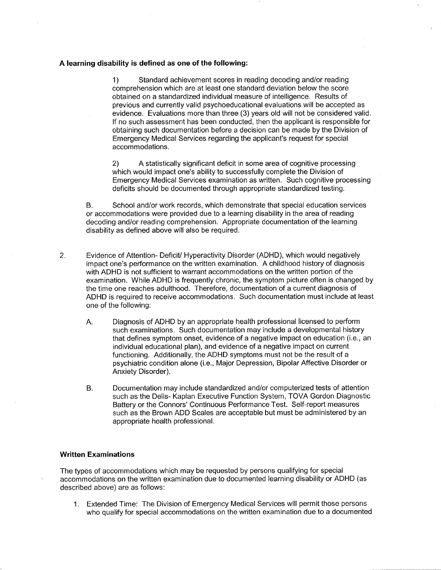## A learning disability is defined as one of the following:

1) Standard achievement scores in reading decoding and/or reading comprehension which are at least one standard deviation below the score obtained on a standardized individual measure of intelligence. Results of previous and currently valid psychoeducational evaluations will be accepted as evidence. Evaluations more than three (3) years old will not be considered valid. If no such assessment has been conducted, then the applicant is responsible for obtaining such documentation before a decision can be made by the Division of Emergency Medical Services regarding the applicant's request for special accommodations.

2) A statistically significant deficit in some area of cognitive processing which would impact one's ability to successfully complete the Division of Emergency Medical Services examination as written. Such cognitive processing deficits should be documented through appropriate standardized testing.

B. School and/or work records, which demonstrate that special education services or accommodations were provided due to a learning disability in the area of reading decoding and/or reading comprehension. Appropriate documentation of the learning disability as defined above will also be required.

- 2. Evidence of Attention- Deficit/ Hyperactivity Disorder (ADHD), which would negatively impact one's performance on the written examination. A childhood history of diagnosis with ADHD is not sufficient to warrant accommodations on the written portion of the examination. While ADHD is frequently chronic, the symptom picture often is changed by the time one reaches adulthood. Therefore, documentation of a current diagnosis of ADHD is required to receive accommodations. Such documentation must include at least one of the following:
	- A. Diagnosis of ADHD by an appropriate health professional licensed to perform such examinations. Such documentation may include a developmental history that defines symptom onset, evidence of a negative impact on education (i.e., an individual educational plan), and evidence of a negative impact on current functioning. Additionally, the ADHD symptoms must not be the result of a psychiatric condition alone (Le., Major Depression, Bipolar Affective Disorder or Anxiety Disorder).
	- B. Documentation may include standardized and/or computerized tests of attention such as the Delis- Kaplan Executive Function System, TOVA Gordon Diagnostic Battery or the Connors' Continuous Performance Test. Self-report measures such as the Brown ADD Scales are acceptable but must be administered by an appropriate health professional.

## **Written Examinations**

The types of accommodations which may be requested by persons qualifying for special accommodations on the written examination due to documented learning disability or ADHD (as described above) are as follows:

1. Extended Time: The Division of Emergency Medical Services will permit those persons who qualify for special accommodations on the written examination due to a documented